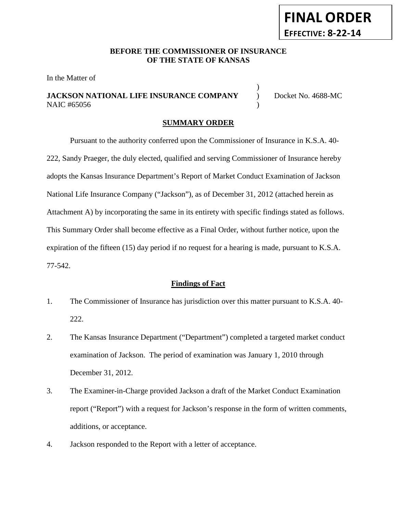# **FINAL ORDER EFFECTIVE: 8-22-14**

## **BEFORE THE COMMISSIONER OF INSURANCE OF THE STATE OF KANSAS**

In the Matter of

# **JACKSON NATIONAL LIFE INSURANCE COMPANY** ) Docket No. 4688-MC NAIC #65056 )

)

## **SUMMARY ORDER**

Pursuant to the authority conferred upon the Commissioner of Insurance in K.S.A. 40- 222, Sandy Praeger, the duly elected, qualified and serving Commissioner of Insurance hereby adopts the Kansas Insurance Department's Report of Market Conduct Examination of Jackson National Life Insurance Company ("Jackson"), as of December 31, 2012 (attached herein as Attachment A) by incorporating the same in its entirety with specific findings stated as follows. This Summary Order shall become effective as a Final Order, without further notice, upon the expiration of the fifteen (15) day period if no request for a hearing is made, pursuant to K.S.A. 77-542.

#### **Findings of Fact**

- 1. The Commissioner of Insurance has jurisdiction over this matter pursuant to K.S.A. 40- 222.
- 2. The Kansas Insurance Department ("Department") completed a targeted market conduct examination of Jackson. The period of examination was January 1, 2010 through December 31, 2012.
- 3. The Examiner-in-Charge provided Jackson a draft of the Market Conduct Examination report ("Report") with a request for Jackson's response in the form of written comments, additions, or acceptance.
- 4. Jackson responded to the Report with a letter of acceptance.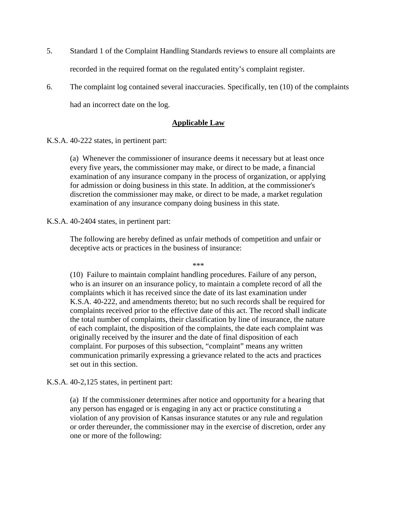- 5. Standard 1 of the Complaint Handling Standards reviews to ensure all complaints are recorded in the required format on the regulated entity's complaint register.
- 6. The complaint log contained several inaccuracies. Specifically, ten (10) of the complaints had an incorrect date on the log.

## **Applicable Law**

K.S.A. 40-222 states, in pertinent part:

(a) Whenever the commissioner of insurance deems it necessary but at least once every five years, the commissioner may make, or direct to be made, a financial examination of any insurance company in the process of organization, or applying for admission or doing business in this state. In addition, at the commissioner's discretion the commissioner may make, or direct to be made, a market regulation examination of any insurance company doing business in this state.

K.S.A. 40-2404 states, in pertinent part:

The following are hereby defined as unfair methods of competition and unfair or deceptive acts or practices in the business of insurance:

\*\*\*

(10) Failure to maintain complaint handling procedures. Failure of any person, who is an insurer on an insurance policy, to maintain a complete record of all the complaints which it has received since the date of its last examination under K.S.A. 40-222, and amendments thereto; but no such records shall be required for complaints received prior to the effective date of this act. The record shall indicate the total number of complaints, their classification by line of insurance, the nature of each complaint, the disposition of the complaints, the date each complaint was originally received by the insurer and the date of final disposition of each complaint. For purposes of this subsection, "complaint" means any written communication primarily expressing a grievance related to the acts and practices set out in this section.

K.S.A. 40-2,125 states, in pertinent part:

(a) If the commissioner determines after notice and opportunity for a hearing that any person has engaged or is engaging in any act or practice constituting a violation of any provision of Kansas insurance statutes or any rule and regulation or order thereunder, the commissioner may in the exercise of discretion, order any one or more of the following: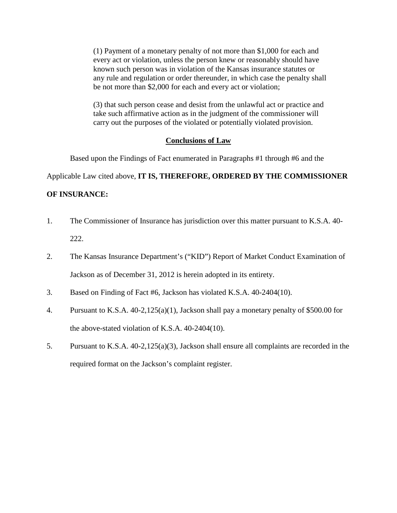(1) Payment of a monetary penalty of not more than \$1,000 for each and every act or violation, unless the person knew or reasonably should have known such person was in violation of the Kansas insurance statutes or any rule and regulation or order thereunder, in which case the penalty shall be not more than \$2,000 for each and every act or violation;

(3) that such person cease and desist from the unlawful act or practice and take such affirmative action as in the judgment of the commissioner will carry out the purposes of the violated or potentially violated provision.

#### **Conclusions of Law**

Based upon the Findings of Fact enumerated in Paragraphs #1 through #6 and the

Applicable Law cited above, **IT IS, THEREFORE, ORDERED BY THE COMMISSIONER** 

#### **OF INSURANCE:**

- 1. The Commissioner of Insurance has jurisdiction over this matter pursuant to K.S.A. 40- 222.
- 2. The Kansas Insurance Department's ("KID") Report of Market Conduct Examination of Jackson as of December 31, 2012 is herein adopted in its entirety.
- 3. Based on Finding of Fact #6, Jackson has violated K.S.A. 40-2404(10).
- 4. Pursuant to K.S.A. 40-2,125(a)(1), Jackson shall pay a monetary penalty of \$500.00 for the above-stated violation of K.S.A. 40-2404(10).
- 5. Pursuant to K.S.A. 40-2,125(a)(3), Jackson shall ensure all complaints are recorded in the required format on the Jackson's complaint register.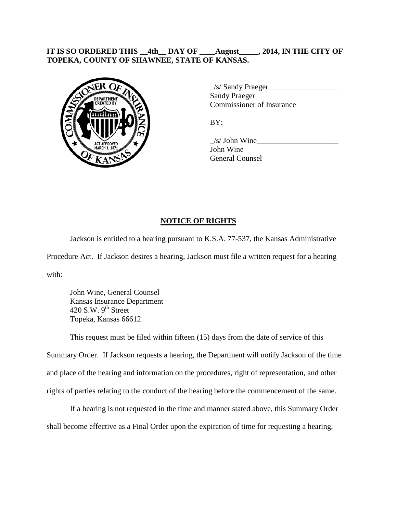## **IT IS SO ORDERED THIS \_\_4th\_\_ DAY OF \_\_\_\_August\_\_\_\_\_, 2014, IN THE CITY OF TOPEKA, COUNTY OF SHAWNEE, STATE OF KANSAS.**



\_/s/ Sandy Praeger\_\_\_\_\_\_\_\_\_\_\_\_\_\_\_\_\_\_ Sandy Praeger Commissioner of Insurance

BY:

 $\frac{1}{s}$  John Wine John Wine General Counsel

# **NOTICE OF RIGHTS**

Jackson is entitled to a hearing pursuant to K.S.A. 77-537, the Kansas Administrative Procedure Act. If Jackson desires a hearing, Jackson must file a written request for a hearing with:

John Wine, General Counsel Kansas Insurance Department 420 S.W.  $9<sup>th</sup>$  Street Topeka, Kansas 66612

This request must be filed within fifteen (15) days from the date of service of this Summary Order. If Jackson requests a hearing, the Department will notify Jackson of the time and place of the hearing and information on the procedures, right of representation, and other rights of parties relating to the conduct of the hearing before the commencement of the same.

If a hearing is not requested in the time and manner stated above, this Summary Order shall become effective as a Final Order upon the expiration of time for requesting a hearing,